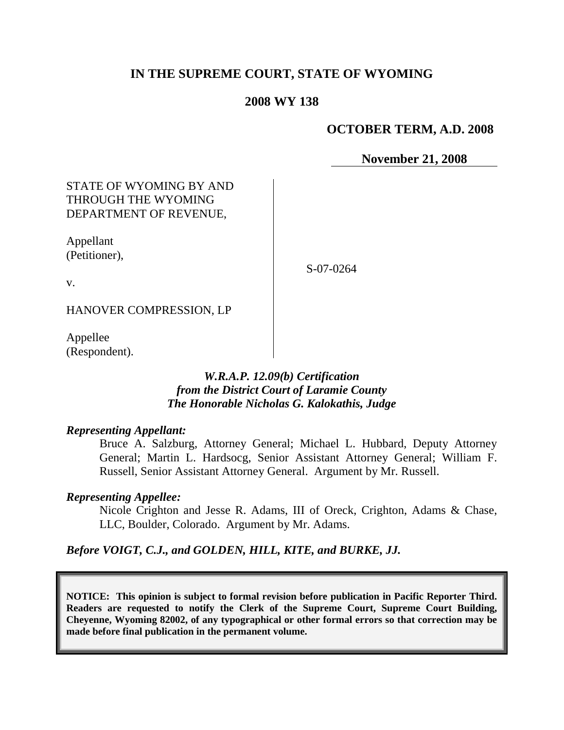## **IN THE SUPREME COURT, STATE OF WYOMING**

### **2008 WY 138**

### **OCTOBER TERM, A.D. 2008**

**November 21, 2008**

### STATE OF WYOMING BY AND THROUGH THE WYOMING DEPARTMENT OF REVENUE,

Appellant (Petitioner),

S-07-0264

v.

HANOVER COMPRESSION, LP

Appellee (Respondent).

### *W.R.A.P. 12.09(b) Certification from the District Court of Laramie County The Honorable Nicholas G. Kalokathis, Judge*

#### *Representing Appellant:*

Bruce A. Salzburg, Attorney General; Michael L. Hubbard, Deputy Attorney General; Martin L. Hardsocg, Senior Assistant Attorney General; William F. Russell, Senior Assistant Attorney General. Argument by Mr. Russell.

#### *Representing Appellee:*

Nicole Crighton and Jesse R. Adams, III of Oreck, Crighton, Adams & Chase, LLC, Boulder, Colorado. Argument by Mr. Adams.

#### *Before VOIGT, C.J., and GOLDEN, HILL, KITE, and BURKE, JJ.*

**NOTICE: This opinion is subject to formal revision before publication in Pacific Reporter Third. Readers are requested to notify the Clerk of the Supreme Court, Supreme Court Building, Cheyenne, Wyoming 82002, of any typographical or other formal errors so that correction may be made before final publication in the permanent volume.**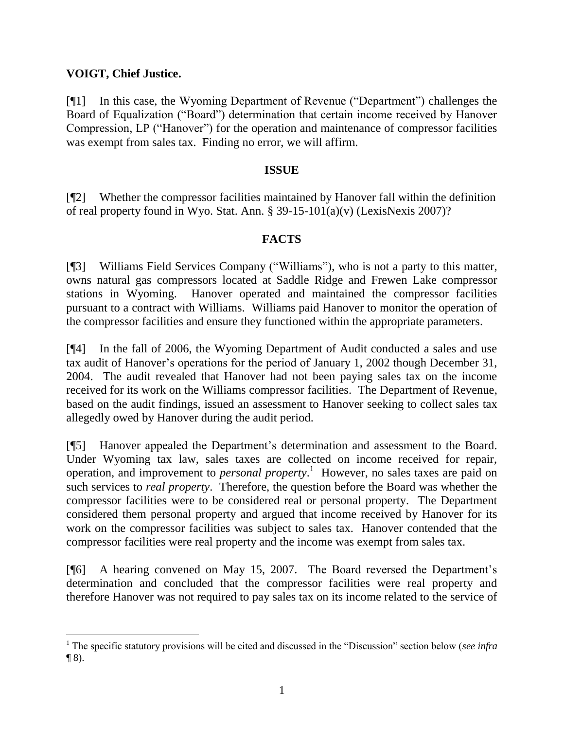# **VOIGT, Chief Justice.**

[¶1] In this case, the Wyoming Department of Revenue ("Department") challenges the Board of Equalization ("Board") determination that certain income received by Hanover Compression, LP ("Hanover") for the operation and maintenance of compressor facilities was exempt from sales tax. Finding no error, we will affirm.

## **ISSUE**

[¶2] Whether the compressor facilities maintained by Hanover fall within the definition of real property found in Wyo. Stat. Ann. § 39-15-101(a)(v) (LexisNexis 2007)?

### **FACTS**

[¶3] Williams Field Services Company ("Williams"), who is not a party to this matter, owns natural gas compressors located at Saddle Ridge and Frewen Lake compressor stations in Wyoming. Hanover operated and maintained the compressor facilities pursuant to a contract with Williams. Williams paid Hanover to monitor the operation of the compressor facilities and ensure they functioned within the appropriate parameters.

[¶4] In the fall of 2006, the Wyoming Department of Audit conducted a sales and use tax audit of Hanover's operations for the period of January 1, 2002 though December 31, 2004. The audit revealed that Hanover had not been paying sales tax on the income received for its work on the Williams compressor facilities. The Department of Revenue, based on the audit findings, issued an assessment to Hanover seeking to collect sales tax allegedly owed by Hanover during the audit period.

[¶5] Hanover appealed the Department's determination and assessment to the Board. Under Wyoming tax law, sales taxes are collected on income received for repair, operation, and improvement to *personal property*. 1 However, no sales taxes are paid on such services to *real property*. Therefore, the question before the Board was whether the compressor facilities were to be considered real or personal property. The Department considered them personal property and argued that income received by Hanover for its work on the compressor facilities was subject to sales tax. Hanover contended that the compressor facilities were real property and the income was exempt from sales tax.

[¶6] A hearing convened on May 15, 2007. The Board reversed the Department's determination and concluded that the compressor facilities were real property and therefore Hanover was not required to pay sales tax on its income related to the service of

<sup>1</sup> The specific statutory provisions will be cited and discussed in the "Discussion" section below (*see infra*  $\P$  8).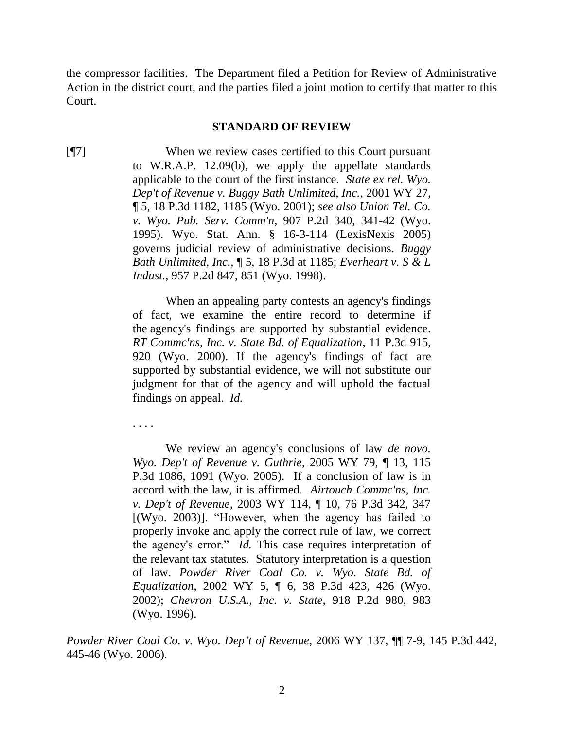the compressor facilities. The Department filed a Petition for Review of Administrative Action in the district court, and the parties filed a joint motion to certify that matter to this Court.

#### **STANDARD OF REVIEW**

[¶7] When we review cases certified to this Court pursuant to W.R.A.P. 12.09(b), we apply the appellate standards applicable to the court of the first instance. *State ex rel. Wyo. Dep't of Revenue v. Buggy Bath Unlimited, Inc.*, 2001 WY 27, ¶ 5, 18 P.3d 1182, 1185 (Wyo. 2001); *see also Union Tel. Co. v. Wyo. Pub. Serv. Comm'n*, 907 P.2d 340, 341-42 (Wyo. 1995). Wyo. Stat. Ann. § 16-3-114 (LexisNexis 2005) governs judicial review of administrative decisions. *Buggy Bath Unlimited, Inc.*, ¶ 5, 18 P.3d at 1185; *Everheart v. S & L Indust.*, 957 P.2d 847, 851 (Wyo. 1998).

> When an appealing party contests an agency's findings of fact, we examine the entire record to determine if the agency's findings are supported by substantial evidence. *RT Commc'ns, Inc. v. State Bd. of Equalization*, 11 P.3d 915, 920 (Wyo. 2000). If the agency's findings of fact are supported by substantial evidence, we will not substitute our judgment for that of the agency and will uphold the factual findings on appeal. *Id.*

. . . .

We review an agency's conclusions of law *de novo. Wyo. Dep't of Revenue v. Guthrie*, 2005 WY 79, ¶ 13, 115 P.3d 1086, 1091 (Wyo. 2005). If a conclusion of law is in accord with the law, it is affirmed. *Airtouch Commc'ns, Inc. v. Dep't of Revenue*, 2003 WY 114, ¶ 10, 76 P.3d 342, 347 [(Wyo. 2003)]. "However, when the agency has failed to properly invoke and apply the correct rule of law, we correct the agency's error." *Id.* This case requires interpretation of the relevant tax statutes. Statutory interpretation is a question of law. *Powder River Coal Co. v. Wyo. State Bd. of Equalization*, 2002 WY 5, ¶ 6, 38 P.3d 423, 426 (Wyo. 2002); *Chevron U.S.A., Inc. v. State*, 918 P.2d 980, 983 (Wyo. 1996).

*Powder River Coal Co. v. Wyo. Dep't of Revenue*, 2006 WY 137, ¶¶ 7-9, 145 P.3d 442, 445-46 (Wyo. 2006).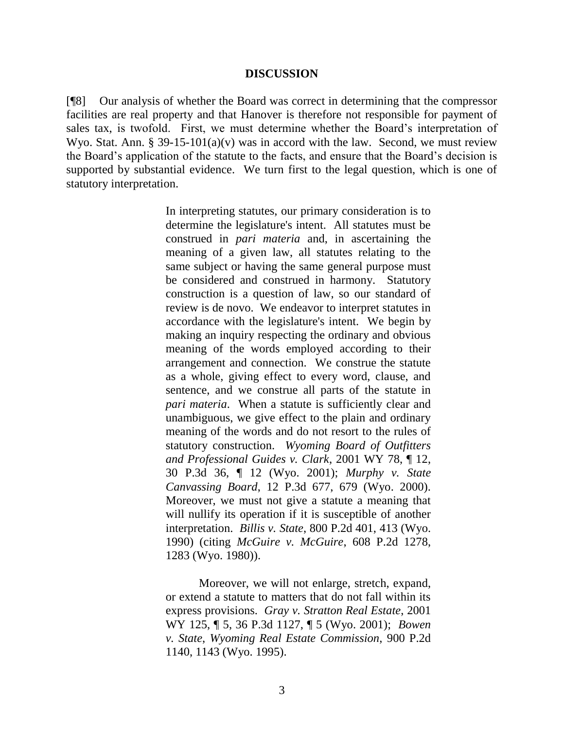#### **DISCUSSION**

[¶8] Our analysis of whether the Board was correct in determining that the compressor facilities are real property and that Hanover is therefore not responsible for payment of sales tax, is twofold. First, we must determine whether the Board's interpretation of Wyo. Stat. Ann. § 39-15-101(a)(v) was in accord with the law. Second, we must review the Board's application of the statute to the facts, and ensure that the Board's decision is supported by substantial evidence. We turn first to the legal question, which is one of statutory interpretation.

> In interpreting statutes, our primary consideration is to determine the legislature's intent. All statutes must be construed in *pari materia* and, in ascertaining the meaning of a given law, all statutes relating to the same subject or having the same general purpose must be considered and construed in harmony. Statutory construction is a question of law, so our standard of review is de novo. We endeavor to interpret statutes in accordance with the legislature's intent. We begin by making an inquiry respecting the ordinary and obvious meaning of the words employed according to their arrangement and connection. We construe the statute as a whole, giving effect to every word, clause, and sentence, and we construe all parts of the statute in *pari materia*. When a statute is sufficiently clear and unambiguous, we give effect to the plain and ordinary meaning of the words and do not resort to the rules of statutory construction. *Wyoming Board of Outfitters and Professional Guides v. Clark*, 2001 WY 78, ¶ 12, 30 P.3d 36, ¶ 12 (Wyo. 2001); *Murphy v. State Canvassing Board*, 12 P.3d 677, 679 (Wyo. 2000). Moreover, we must not give a statute a meaning that will nullify its operation if it is susceptible of another interpretation. *Billis v. State*, 800 P.2d 401, 413 (Wyo. 1990) (citing *McGuire v. McGuire*, 608 P.2d 1278, 1283 (Wyo. 1980)).

Moreover, we will not enlarge, stretch, expand, or extend a statute to matters that do not fall within its express provisions. *Gray v. Stratton Real Estate*, 2001 WY 125, ¶ 5, 36 P.3d 1127, ¶ 5 (Wyo. 2001); *Bowen v. State*, *Wyoming Real Estate Commission*, 900 P.2d 1140, 1143 (Wyo. 1995).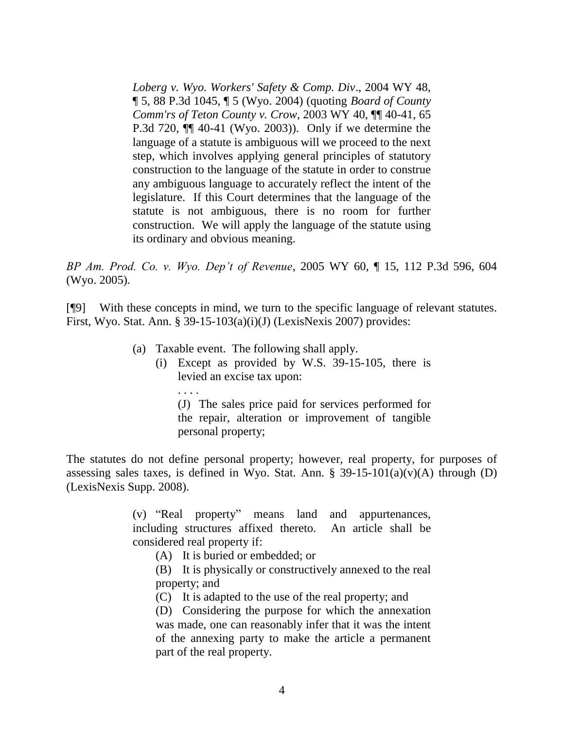*Loberg v. Wyo. Workers' Safety & Comp. Div*., 2004 WY 48, ¶ 5, 88 P.3d 1045, ¶ 5 (Wyo. 2004) (quoting *Board of County Comm'rs of Teton County v. Crow*, 2003 WY 40, ¶¶ 40-41, 65 P.3d 720, ¶¶ 40-41 (Wyo. 2003)). Only if we determine the language of a statute is ambiguous will we proceed to the next step, which involves applying general principles of statutory construction to the language of the statute in order to construe any ambiguous language to accurately reflect the intent of the legislature. If this Court determines that the language of the statute is not ambiguous, there is no room for further construction. We will apply the language of the statute using its ordinary and obvious meaning.

*BP Am. Prod. Co. v. Wyo. Dep't of Revenue*, 2005 WY 60, ¶ 15, 112 P.3d 596, 604 (Wyo. 2005).

[¶9] With these concepts in mind, we turn to the specific language of relevant statutes. First, Wyo. Stat. Ann. § 39-15-103(a)(i)(J) (LexisNexis 2007) provides:

- (a) Taxable event. The following shall apply.
	- (i) Except as provided by W.S. 39-15-105, there is levied an excise tax upon:
		- . . . . (J) The sales price paid for services performed for the repair, alteration or improvement of tangible personal property;

The statutes do not define personal property; however, real property, for purposes of assessing sales taxes, is defined in Wyo. Stat. Ann.  $\S$  39-15-101(a)(v)(A) through (D) (LexisNexis Supp. 2008).

> (v) "Real property" means land and appurtenances, including structures affixed thereto. An article shall be considered real property if:

- (A) It is buried or embedded; or
- (B) It is physically or constructively annexed to the real property; and
- (C) It is adapted to the use of the real property; and
- (D) Considering the purpose for which the annexation was made, one can reasonably infer that it was the intent of the annexing party to make the article a permanent part of the real property.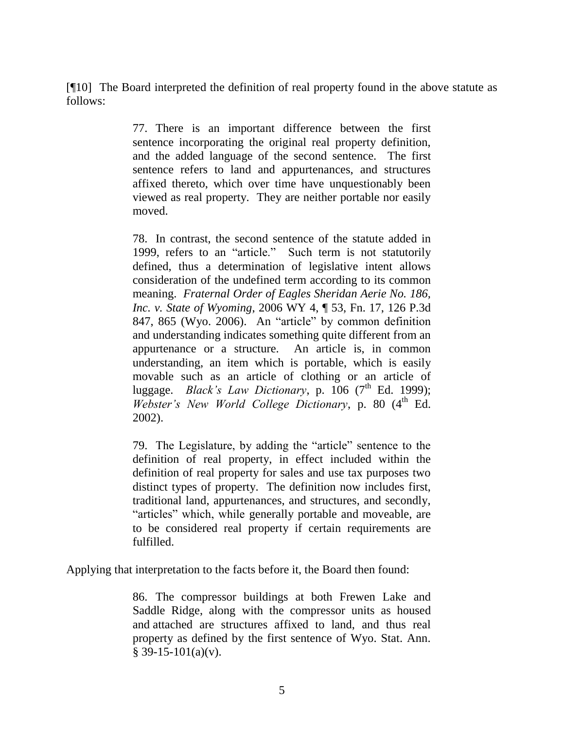[¶10] The Board interpreted the definition of real property found in the above statute as follows:

> 77. There is an important difference between the first sentence incorporating the original real property definition, and the added language of the second sentence. The first sentence refers to land and appurtenances, and structures affixed thereto, which over time have unquestionably been viewed as real property. They are neither portable nor easily moved.

> 78. In contrast, the second sentence of the statute added in 1999, refers to an "article." Such term is not statutorily defined, thus a determination of legislative intent allows consideration of the undefined term according to its common meaning. *Fraternal Order of Eagles Sheridan Aerie No. 186, Inc. v. State of Wyoming*, 2006 WY 4, ¶ 53, Fn. 17, 126 P.3d 847, 865 (Wyo. 2006). An "article" by common definition and understanding indicates something quite different from an appurtenance or a structure. An article is, in common understanding, an item which is portable, which is easily movable such as an article of clothing or an article of luggage. *Black's Law Dictionary*, p. 106  $(7<sup>th</sup>$  Ed. 1999); *Webster's New World College Dictionary*, p. 80 (4<sup>th</sup> Ed. 2002).

> 79. The Legislature, by adding the "article" sentence to the definition of real property, in effect included within the definition of real property for sales and use tax purposes two distinct types of property. The definition now includes first, traditional land, appurtenances, and structures, and secondly, "articles" which, while generally portable and moveable, are to be considered real property if certain requirements are fulfilled.

Applying that interpretation to the facts before it, the Board then found:

86. The compressor buildings at both Frewen Lake and Saddle Ridge, along with the compressor units as housed and attached are structures affixed to land, and thus real property as defined by the first sentence of Wyo. Stat. Ann.  $§$  39-15-101(a)(v).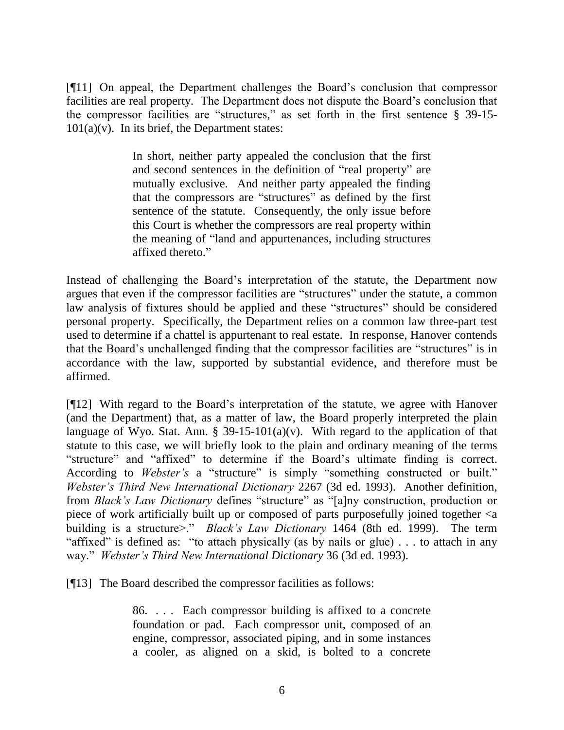[¶11] On appeal, the Department challenges the Board's conclusion that compressor facilities are real property. The Department does not dispute the Board's conclusion that the compressor facilities are "structures," as set forth in the first sentence § 39-15-  $101(a)(v)$ . In its brief, the Department states:

> In short, neither party appealed the conclusion that the first and second sentences in the definition of "real property" are mutually exclusive. And neither party appealed the finding that the compressors are "structures" as defined by the first sentence of the statute. Consequently, the only issue before this Court is whether the compressors are real property within the meaning of "land and appurtenances, including structures affixed thereto."

Instead of challenging the Board's interpretation of the statute, the Department now argues that even if the compressor facilities are "structures" under the statute, a common law analysis of fixtures should be applied and these "structures" should be considered personal property. Specifically, the Department relies on a common law three-part test used to determine if a chattel is appurtenant to real estate. In response, Hanover contends that the Board's unchallenged finding that the compressor facilities are "structures" is in accordance with the law, supported by substantial evidence, and therefore must be affirmed.

[¶12] With regard to the Board's interpretation of the statute, we agree with Hanover (and the Department) that, as a matter of law, the Board properly interpreted the plain language of Wyo. Stat. Ann. § 39-15-101(a)(v). With regard to the application of that statute to this case, we will briefly look to the plain and ordinary meaning of the terms "structure" and "affixed" to determine if the Board's ultimate finding is correct. According to *Webster's* a "structure" is simply "something constructed or built." *Webster's Third New International Dictionary* 2267 (3d ed. 1993). Another definition, from *Black's Law Dictionary* defines "structure" as "[a]ny construction, production or piece of work artificially built up or composed of parts purposefully joined together <a building is a structure>." *Black's Law Dictionary* 1464 (8th ed. 1999). The term "affixed" is defined as: "to attach physically (as by nails or glue) . . . to attach in any way." *Webster's Third New International Dictionary* 36 (3d ed. 1993).

[¶13] The Board described the compressor facilities as follows:

86. . . . Each compressor building is affixed to a concrete foundation or pad. Each compressor unit, composed of an engine, compressor, associated piping, and in some instances a cooler, as aligned on a skid, is bolted to a concrete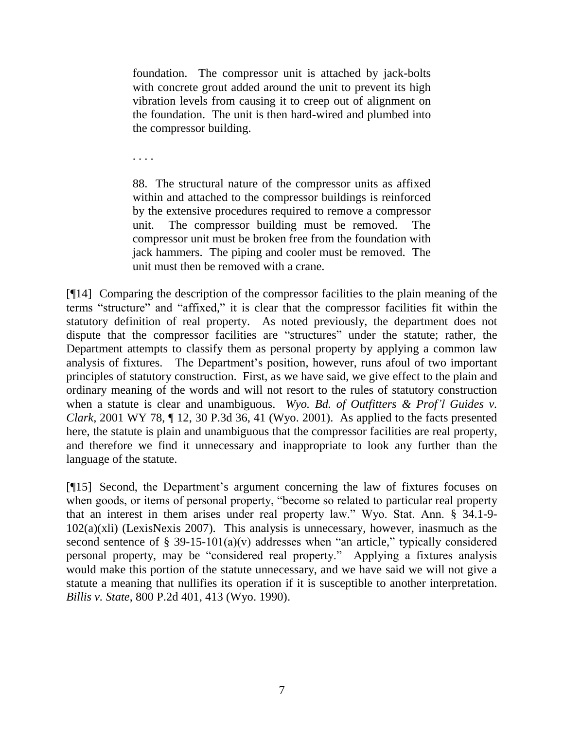foundation. The compressor unit is attached by jack-bolts with concrete grout added around the unit to prevent its high vibration levels from causing it to creep out of alignment on the foundation. The unit is then hard-wired and plumbed into the compressor building.

. . . .

88. The structural nature of the compressor units as affixed within and attached to the compressor buildings is reinforced by the extensive procedures required to remove a compressor unit. The compressor building must be removed. The compressor unit must be broken free from the foundation with jack hammers. The piping and cooler must be removed. The unit must then be removed with a crane.

[¶14] Comparing the description of the compressor facilities to the plain meaning of the terms "structure" and "affixed," it is clear that the compressor facilities fit within the statutory definition of real property. As noted previously, the department does not dispute that the compressor facilities are "structures" under the statute; rather, the Department attempts to classify them as personal property by applying a common law analysis of fixtures. The Department's position, however, runs afoul of two important principles of statutory construction. First, as we have said, we give effect to the plain and ordinary meaning of the words and will not resort to the rules of statutory construction when a statute is clear and unambiguous. *Wyo. Bd. of Outfitters & Prof'l Guides v. Clark*, 2001 WY 78, ¶ 12, 30 P.3d 36, 41 (Wyo. 2001). As applied to the facts presented here, the statute is plain and unambiguous that the compressor facilities are real property, and therefore we find it unnecessary and inappropriate to look any further than the language of the statute.

[¶15] Second, the Department's argument concerning the law of fixtures focuses on when goods, or items of personal property, "become so related to particular real property that an interest in them arises under real property law." Wyo. Stat. Ann. § 34.1-9-  $102(a)(x)$  (LexisNexis 2007). This analysis is unnecessary, however, inasmuch as the second sentence of  $\S$  39-15-101(a)(v) addresses when "an article," typically considered personal property, may be "considered real property." Applying a fixtures analysis would make this portion of the statute unnecessary, and we have said we will not give a statute a meaning that nullifies its operation if it is susceptible to another interpretation. *Billis v. State*, 800 P.2d 401, 413 (Wyo. 1990).